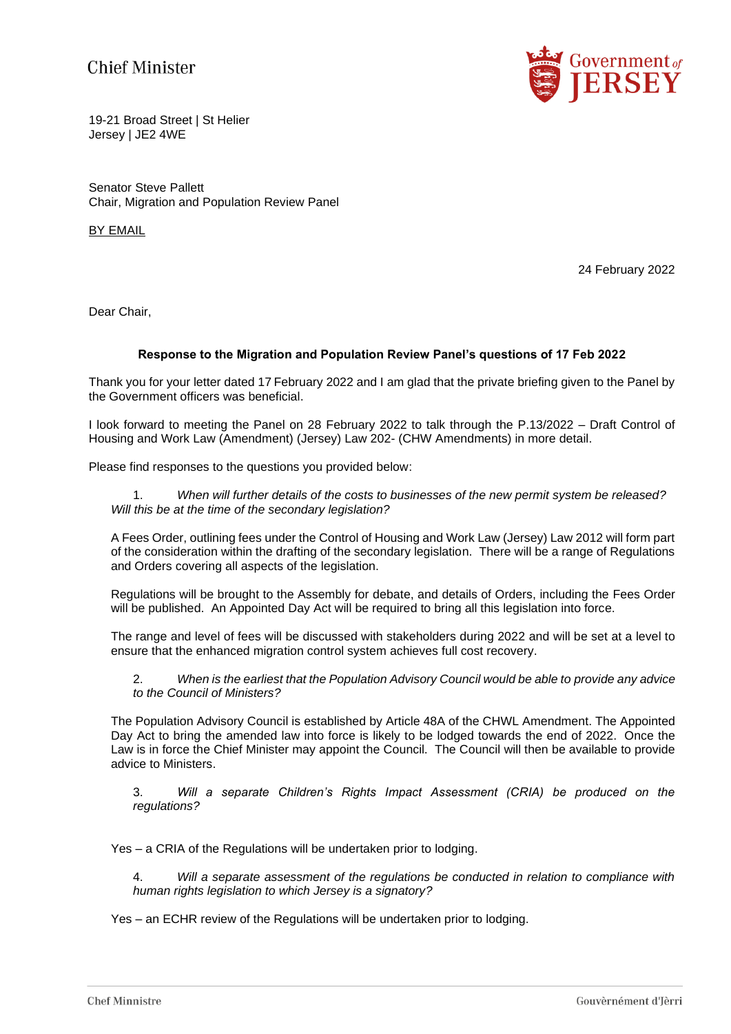## **Chief Minister**



19-21 Broad Street | St Helier Jersey | JE2 4WE

Senator Steve Pallett Chair, Migration and Population Review Panel

BY EMAIL

24 February 2022

Dear Chair,

## **Response to the Migration and Population Review Panel's questions of 17 Feb 2022**

Thank you for your letter dated 17 February 2022 and I am glad that the private briefing given to the Panel by the Government officers was beneficial.

I look forward to meeting the Panel on 28 February 2022 to talk through the P.13/2022 – Draft Control of Housing and Work Law (Amendment) (Jersey) Law 202- (CHW Amendments) in more detail.

Please find responses to the questions you provided below:

1. *When will further details of the costs to businesses of the new permit system be released? Will this be at the time of the secondary legislation?*

A Fees Order, outlining fees under the Control of Housing and Work Law (Jersey) Law 2012 will form part of the consideration within the drafting of the secondary legislation. There will be a range of Regulations and Orders covering all aspects of the legislation.

Regulations will be brought to the Assembly for debate, and details of Orders, including the Fees Order will be published. An Appointed Day Act will be required to bring all this legislation into force.

The range and level of fees will be discussed with stakeholders during 2022 and will be set at a level to ensure that the enhanced migration control system achieves full cost recovery.

2. *When is the earliest that the Population Advisory Council would be able to provide any advice to the Council of Ministers?*

The Population Advisory Council is established by Article 48A of the CHWL Amendment. The Appointed Day Act to bring the amended law into force is likely to be lodged towards the end of 2022. Once the Law is in force the Chief Minister may appoint the Council. The Council will then be available to provide advice to Ministers.

3. *Will a separate Children's Rights Impact Assessment (CRIA) be produced on the regulations?*

Yes – a CRIA of the Regulations will be undertaken prior to lodging.

4. *Will a separate assessment of the regulations be conducted in relation to compliance with human rights legislation to which Jersey is a signatory?*

Yes – an ECHR review of the Regulations will be undertaken prior to lodging.